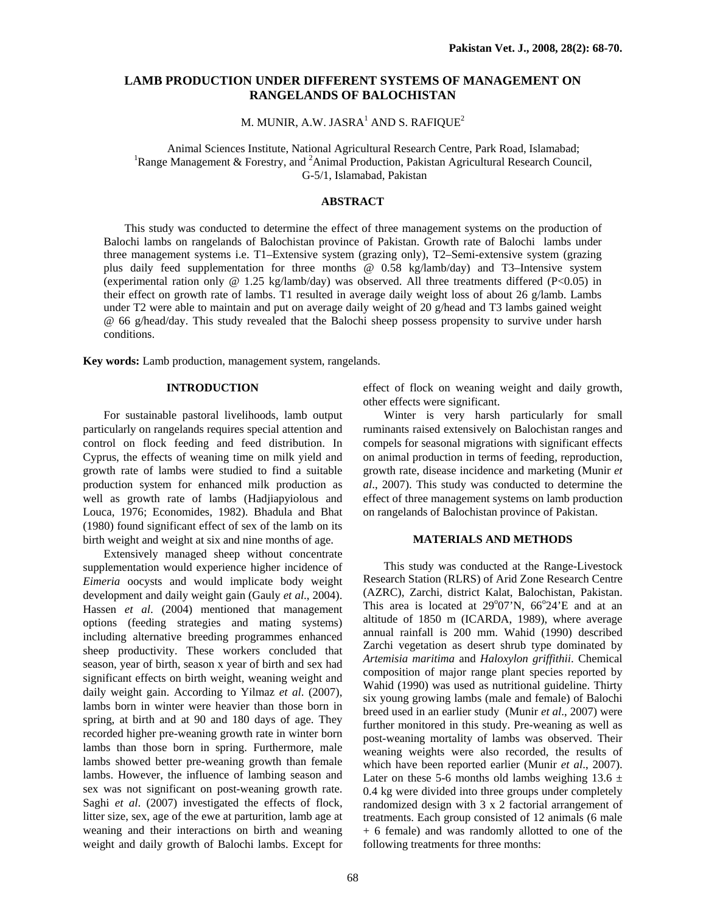# **LAMB PRODUCTION UNDER DIFFERENT SYSTEMS OF MANAGEMENT ON RANGELANDS OF BALOCHISTAN**

M. MUNIR, A.W. JASRA $^{\rm l}$  AND S. RAFIQUE $^{\rm 2}$ 

Animal Sciences Institute, National Agricultural Research Centre, Park Road, Islamabad; 1 Range Management & Forestry, and <sup>2</sup>Animal Production, Pakistan Agricultural Research Council, G-5/1, Islamabad, Pakistan

## **ABSTRACT**

This study was conducted to determine the effect of three management systems on the production of Balochi lambs on rangelands of Balochistan province of Pakistan. Growth rate of Balochi lambs under three management systems i.e. T1–Extensive system (grazing only), T2–Semi-extensive system (grazing plus daily feed supplementation for three months @ 0.58 kg/lamb/day) and T3–Intensive system (experimental ration only @ 1.25 kg/lamb/day) was observed. All three treatments differed (P<0.05) in their effect on growth rate of lambs. T1 resulted in average daily weight loss of about 26 g/lamb. Lambs under T2 were able to maintain and put on average daily weight of 20 g/head and T3 lambs gained weight @ 66 g/head/day. This study revealed that the Balochi sheep possess propensity to survive under harsh conditions.

**Key words:** Lamb production, management system, rangelands.

## **INTRODUCTION**

For sustainable pastoral livelihoods, lamb output particularly on rangelands requires special attention and control on flock feeding and feed distribution. In Cyprus, the effects of weaning time on milk yield and growth rate of lambs were studied to find a suitable production system for enhanced milk production as well as growth rate of lambs (Hadjiapyiolous and Louca, 1976; Economides, 1982). Bhadula and Bhat (1980) found significant effect of sex of the lamb on its birth weight and weight at six and nine months of age.

Extensively managed sheep without concentrate supplementation would experience higher incidence of *Eimeria* oocysts and would implicate body weight development and daily weight gain (Gauly *et al*., 2004). Hassen *et al*. (2004) mentioned that management options (feeding strategies and mating systems) including alternative breeding programmes enhanced sheep productivity. These workers concluded that season, year of birth, season x year of birth and sex had significant effects on birth weight, weaning weight and daily weight gain. According to Yilmaz *et al*. (2007), lambs born in winter were heavier than those born in spring, at birth and at 90 and 180 days of age. They recorded higher pre-weaning growth rate in winter born lambs than those born in spring. Furthermore, male lambs showed better pre-weaning growth than female lambs. However, the influence of lambing season and sex was not significant on post-weaning growth rate. Saghi *et al*. (2007) investigated the effects of flock, litter size, sex, age of the ewe at parturition, lamb age at weaning and their interactions on birth and weaning weight and daily growth of Balochi lambs. Except for

effect of flock on weaning weight and daily growth, other effects were significant.

Winter is very harsh particularly for small ruminants raised extensively on Balochistan ranges and compels for seasonal migrations with significant effects on animal production in terms of feeding, reproduction, growth rate, disease incidence and marketing (Munir *et al*., 2007). This study was conducted to determine the effect of three management systems on lamb production on rangelands of Balochistan province of Pakistan.

#### **MATERIALS AND METHODS**

This study was conducted at the Range-Livestock Research Station (RLRS) of Arid Zone Research Centre (AZRC), Zarchi, district Kalat, Balochistan, Pakistan. This area is located at  $29^{\circ}07'N$ ,  $66^{\circ}24'E$  and at an altitude of 1850 m (ICARDA, 1989), where average annual rainfall is 200 mm. Wahid (1990) described Zarchi vegetation as desert shrub type dominated by *Artemisia maritima* and *Haloxylon griffithii*. Chemical composition of major range plant species reported by Wahid (1990) was used as nutritional guideline. Thirty six young growing lambs (male and female) of Balochi breed used in an earlier study (Munir *et al*., 2007) were further monitored in this study. Pre-weaning as well as post-weaning mortality of lambs was observed. Their weaning weights were also recorded, the results of which have been reported earlier (Munir *et al*., 2007). Later on these 5-6 months old lambs weighing  $13.6 \pm$ 0.4 kg were divided into three groups under completely randomized design with 3 x 2 factorial arrangement of treatments. Each group consisted of 12 animals (6 male + 6 female) and was randomly allotted to one of the following treatments for three months: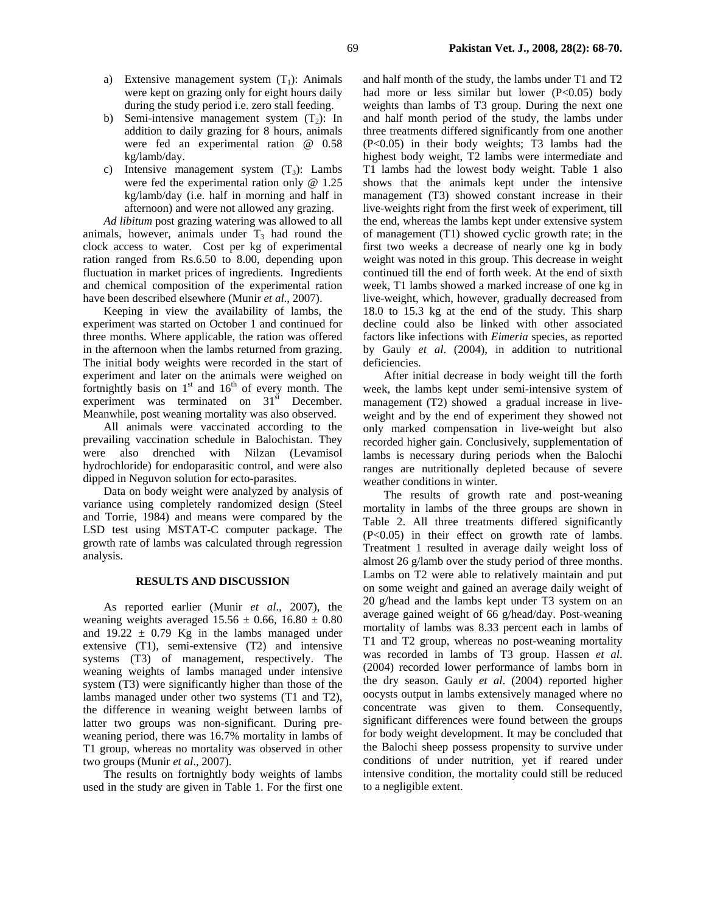- a) Extensive management system  $(T_1)$ : Animals were kept on grazing only for eight hours daily during the study period i.e. zero stall feeding.
- b) Semi-intensive management system  $(T_2)$ : In addition to daily grazing for 8 hours, animals were fed an experimental ration @ 0.58 kg/lamb/day.
- c) Intensive management system  $(T_3)$ : Lambs were fed the experimental ration only @ 1.25 kg/lamb/day (i.e. half in morning and half in afternoon) and were not allowed any grazing.

*Ad libitum* post grazing watering was allowed to all animals, however, animals under  $T_3$  had round the clock access to water. Cost per kg of experimental ration ranged from Rs.6.50 to 8.00, depending upon fluctuation in market prices of ingredients. Ingredients and chemical composition of the experimental ration have been described elsewhere (Munir *et al*., 2007).

Keeping in view the availability of lambs, the experiment was started on October 1 and continued for three months. Where applicable, the ration was offered in the afternoon when the lambs returned from grazing. The initial body weights were recorded in the start of experiment and later on the animals were weighed on fortnightly basis on  $1<sup>st</sup>$  and  $16<sup>th</sup>$  of every month. The experiment was terminated on  $31<sup>st</sup>$  December. Meanwhile, post weaning mortality was also observed.

All animals were vaccinated according to the prevailing vaccination schedule in Balochistan. They were also drenched with Nilzan (Levamisol hydrochloride) for endoparasitic control, and were also dipped in Neguvon solution for ecto-parasites.

Data on body weight were analyzed by analysis of variance using completely randomized design (Steel and Torrie, 1984) and means were compared by the LSD test using MSTAT-C computer package. The growth rate of lambs was calculated through regression analysis.

#### **RESULTS AND DISCUSSION**

As reported earlier (Munir *et al*., 2007), the weaning weights averaged  $15.56 \pm 0.66$ ,  $16.80 \pm 0.80$ and  $19.22 \pm 0.79$  Kg in the lambs managed under extensive (T1), semi-extensive (T2) and intensive systems (T3) of management, respectively. The weaning weights of lambs managed under intensive system (T3) were significantly higher than those of the lambs managed under other two systems (T1 and T2), the difference in weaning weight between lambs of latter two groups was non-significant. During preweaning period, there was 16.7% mortality in lambs of T1 group, whereas no mortality was observed in other two groups (Munir *et al*., 2007).

The results on fortnightly body weights of lambs used in the study are given in Table 1. For the first one and half month of the study, the lambs under T1 and T2 had more or less similar but lower  $(P<0.05)$  body weights than lambs of T3 group. During the next one and half month period of the study, the lambs under three treatments differed significantly from one another (P<0.05) in their body weights; T3 lambs had the highest body weight, T2 lambs were intermediate and T1 lambs had the lowest body weight. Table 1 also shows that the animals kept under the intensive management (T3) showed constant increase in their live-weights right from the first week of experiment, till the end, whereas the lambs kept under extensive system of management (T1) showed cyclic growth rate; in the first two weeks a decrease of nearly one kg in body weight was noted in this group. This decrease in weight continued till the end of forth week. At the end of sixth week, T1 lambs showed a marked increase of one kg in live-weight, which, however, gradually decreased from 18.0 to 15.3 kg at the end of the study. This sharp decline could also be linked with other associated factors like infections with *Eimeria* species, as reported by Gauly *et al*. (2004), in addition to nutritional deficiencies.

After initial decrease in body weight till the forth week, the lambs kept under semi-intensive system of management (T2) showed a gradual increase in liveweight and by the end of experiment they showed not only marked compensation in live-weight but also recorded higher gain. Conclusively, supplementation of lambs is necessary during periods when the Balochi ranges are nutritionally depleted because of severe weather conditions in winter.

The results of growth rate and post-weaning mortality in lambs of the three groups are shown in Table 2. All three treatments differed significantly (P<0.05) in their effect on growth rate of lambs. Treatment 1 resulted in average daily weight loss of almost 26 g/lamb over the study period of three months. Lambs on T2 were able to relatively maintain and put on some weight and gained an average daily weight of 20 g/head and the lambs kept under T3 system on an average gained weight of 66 g/head/day. Post-weaning mortality of lambs was 8.33 percent each in lambs of T1 and T2 group, whereas no post-weaning mortality was recorded in lambs of T3 group. Hassen *et al*. (2004) recorded lower performance of lambs born in the dry season. Gauly *et al*. (2004) reported higher oocysts output in lambs extensively managed where no concentrate was given to them. Consequently, significant differences were found between the groups for body weight development. It may be concluded that the Balochi sheep possess propensity to survive under conditions of under nutrition, yet if reared under intensive condition, the mortality could still be reduced to a negligible extent.